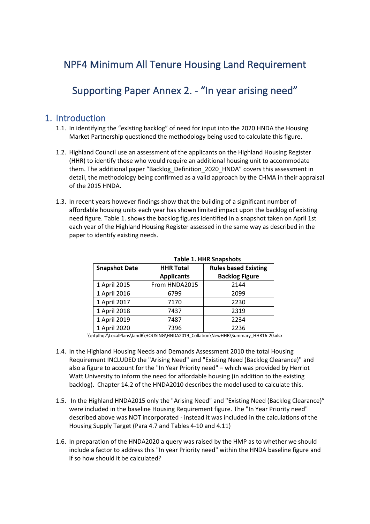# NPF4 Minimum All Tenure Housing Land Requirement

## Supporting Paper Annex 2. - "In year arising need"

### 1. Introduction

- 1.1. In identifying the "existing backlog" of need for input into the 2020 HNDA the Housing Market Partnership questioned the methodology being used to calculate this figure.
- 1.2. Highland Council use an assessment of the applicants on the Highland Housing Register (HHR) to identify those who would require an additional housing unit to accommodate them. The additional paper "Backlog\_Definition\_2020\_HNDA" covers this assessment in detail, the methodology being confirmed as a valid approach by the CHMA in their appraisal of the 2015 HNDA.
- 1.3. In recent years however findings show that the building of a significant number of affordable housing units each year has shown limited impact upon the backlog of existing need figure. Table 1. shows the backlog figures identified in a snapshot taken on April 1st each year of the Highland Housing Register assessed in the same way as described in the paper to identify existing needs.

| <b>Snapshot Date</b> | <b>HHR Total</b>  | <b>Rules based Existing</b> |  |
|----------------------|-------------------|-----------------------------|--|
|                      | <b>Applicants</b> | <b>Backlog Figure</b>       |  |
| 1 April 2015         | From HNDA2015     | 2144                        |  |
| 1 April 2016         | 6799              | 2099                        |  |
| 1 April 2017         | 7170              | 2230                        |  |
| 1 April 2018         | 7437              | 2319                        |  |
| 1 April 2019         | 7487              | 2234                        |  |
| 1 April 2020         | 7396              | 2236                        |  |

#### **Table 1. HHR Snapshots**

\\ntplhq2\LocalPlans\IandR\HOUSING\HNDA2019\_Collation\NewHHR\Summary\_HHR16-20.xlsx

- 1.4. In the Highland Housing Needs and Demands Assessment 2010 the total Housing Requirement INCLUDED the "Arising Need" and "Existing Need (Backlog Clearance)" and also a figure to account for the "In Year Priority need" – which was provided by Herriot Watt University to inform the need for affordable housing (in addition to the existing backlog). Chapter 14.2 of the HNDA2010 describes the model used to calculate this.
- 1.5. In the Highland HNDA2015 only the "Arising Need" and "Existing Need (Backlog Clearance)" were included in the baseline Housing Requirement figure. The "In Year Priority need" described above was NOT incorporated - instead it was included in the calculations of the Housing Supply Target (Para 4.7 and Tables 4-10 and 4.11)
- 1.6. In preparation of the HNDA2020 a query was raised by the HMP as to whether we should include a factor to address this "In year Priority need" within the HNDA baseline figure and if so how should it be calculated?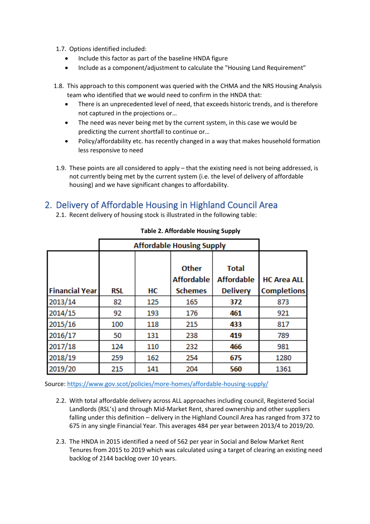- 1.7. Options identified included:
	- Include this factor as part of the baseline HNDA figure
	- Include as a component/adjustment to calculate the "Housing Land Requirement"
- 1.8. This approach to this component was queried with the CHMA and the NRS Housing Analysis team who identified that we would need to confirm in the HNDA that:
	- There is an unprecedented level of need, that exceeds historic trends, and is therefore not captured in the projections or…
	- The need was never being met by the current system, in this case we would be predicting the current shortfall to continue or…
	- Policy/affordability etc. has recently changed in a way that makes household formation less responsive to need
- 1.9. These points are all considered to apply that the existing need is not being addressed, is not currently being met by the current system (i.e. the level of delivery of affordable housing) and we have significant changes to affordability.

## 2. Delivery of Affordable Housing in Highland Council Area

2.1. Recent delivery of housing stock is illustrated in the following table:

|                       | <b>Affordable Housing Supply</b> |     |                                   |                                   |                    |
|-----------------------|----------------------------------|-----|-----------------------------------|-----------------------------------|--------------------|
|                       |                                  |     | <b>Other</b><br><b>Affordable</b> | <b>Total</b><br><b>Affordable</b> | <b>HC Area ALL</b> |
| <b>Financial Year</b> | <b>RSL</b>                       | HС  | <b>Schemes</b>                    | <b>Delivery</b>                   | <b>Completions</b> |
| 2013/14               | 82                               | 125 | 165                               | 372                               | 873                |
| 2014/15               | 92                               | 193 | 176                               | 461                               | 921                |
| 2015/16               | 100                              | 118 | 215                               | 433                               | 817                |
| 2016/17               | 50                               | 131 | 238                               | 419                               | 789                |
| 2017/18               | 124                              | 110 | 232                               | 466                               | 981                |
| 2018/19               | 259                              | 162 | 254                               | 675                               | 1280               |
| 2019/20               | 215                              | 141 | 204                               | 560                               | 1361               |

**Table 2. Affordable Housing Supply**

Source:<https://www.gov.scot/policies/more-homes/affordable-housing-supply/>

- 2.2. With total affordable delivery across ALL approaches including council, Registered Social Landlords (RSL's) and through Mid-Market Rent, shared ownership and other suppliers falling under this definition – delivery in the Highland Council Area has ranged from 372 to 675 in any single Financial Year. This averages 484 per year between 2013/4 to 2019/20.
- 2.3. The HNDA in 2015 identified a need of 562 per year in Social and Below Market Rent Tenures from 2015 to 2019 which was calculated using a target of clearing an existing need backlog of 2144 backlog over 10 years.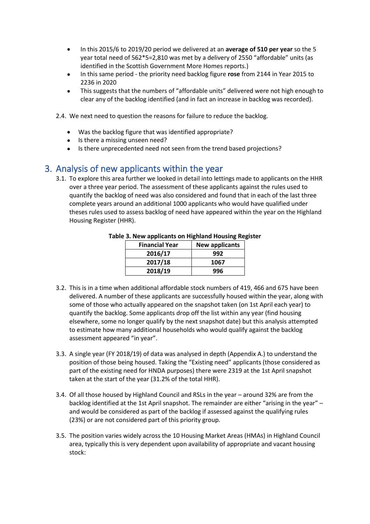- In this 2015/6 to 2019/20 period we delivered at an **average of 510 per year** so the 5 year total need of 562\*5=2,810 was met by a delivery of 2550 "affordable" units (as identified in the Scottish Government More Homes reports.)
- In this same period the priority need backlog figure **rose** from 2144 in Year 2015 to 2236 in 2020
- This suggests that the numbers of "affordable units" delivered were not high enough to clear any of the backlog identified (and in fact an increase in backlog was recorded).

2.4. We next need to question the reasons for failure to reduce the backlog.

- Was the backlog figure that was identified appropriate?
- Is there a missing unseen need?
- Is there unprecedented need not seen from the trend based projections?

### 3. Analysis of new applicants within the year

3.1. To explore this area further we looked in detail into lettings made to applicants on the HHR over a three year period. The assessment of these applicants against the rules used to quantify the backlog of need was also considered and found that in each of the last three complete years around an additional 1000 applicants who would have qualified under theses rules used to assess backlog of need have appeared within the year on the Highland Housing Register (HHR).

| <b>Financial Year</b> | <b>New applicants</b> |
|-----------------------|-----------------------|
| 2016/17               | 992                   |
| 2017/18               | 1067                  |
| 2018/19               | 996                   |

#### **Table 3. New applicants on Highland Housing Register**

- 3.2. This is in a time when additional affordable stock numbers of 419, 466 and 675 have been delivered. A number of these applicants are successfully housed within the year, along with some of those who actually appeared on the snapshot taken (on 1st April each year) to quantify the backlog. Some applicants drop off the list within any year (find housing elsewhere, some no longer qualify by the next snapshot date) but this analysis attempted to estimate how many additional households who would qualify against the backlog assessment appeared "in year".
- 3.3. A single year (FY 2018/19) of data was analysed in depth (Appendix A.) to understand the position of those being housed. Taking the "Existing need" applicants (those considered as part of the existing need for HNDA purposes) there were 2319 at the 1st April snapshot taken at the start of the year (31.2% of the total HHR).
- 3.4. Of all those housed by Highland Council and RSLs in the year around 32% are from the backlog identified at the 1st April snapshot. The remainder are either "arising in the year" – and would be considered as part of the backlog if assessed against the qualifying rules (23%) or are not considered part of this priority group.
- 3.5. The position varies widely across the 10 Housing Market Areas (HMAs) in Highland Council area, typically this is very dependent upon availability of appropriate and vacant housing stock: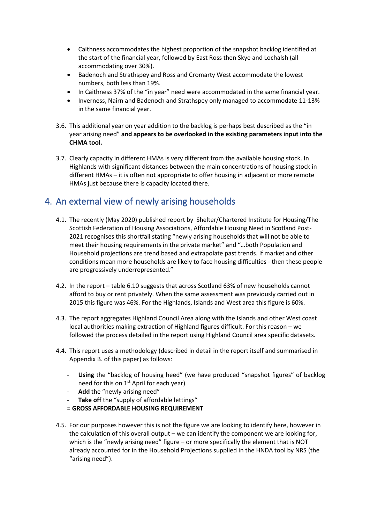- Caithness accommodates the highest proportion of the snapshot backlog identified at the start of the financial year, followed by East Ross then Skye and Lochalsh (all accommodating over 30%).
- Badenoch and Strathspey and Ross and Cromarty West accommodate the lowest numbers, both less than 19%.
- In Caithness 37% of the "in year" need were accommodated in the same financial year.
- Inverness, Nairn and Badenoch and Strathspey only managed to accommodate 11-13% in the same financial year.
- 3.6. This additional year on year addition to the backlog is perhaps best described as the "in year arising need" **and appears to be overlooked in the existing parameters input into the CHMA tool.**
- 3.7. Clearly capacity in different HMAs is very different from the available housing stock. In Highlands with significant distances between the main concentrations of housing stock in different HMAs – it is often not appropriate to offer housing in adjacent or more remote HMAs just because there is capacity located there.

## 4. An external view of newly arising households

- 4.1. The recently (May 2020) published report by Shelter/Chartered Institute for Housing/The Scottish Federation of Housing Associations[, Affordable Housing Need in Scotland Post-](https://scotland.shelter.org.uk/__data/assets/pdf_file/0010/1925668/Affordable_Housing_Need_in_Scotland_Post-21_final_report.pdf/_nocache)[2021](https://scotland.shelter.org.uk/__data/assets/pdf_file/0010/1925668/Affordable_Housing_Need_in_Scotland_Post-21_final_report.pdf/_nocache) recognises this shortfall stating "newly arising households that will not be able to meet their housing requirements in the private market" and "…both Population and Household projections are trend based and extrapolate past trends. If market and other conditions mean more households are likely to face housing difficulties - then these people are progressively underrepresented."
- 4.2. In the report table 6.10 suggests that across Scotland 63% of new households cannot afford to buy or rent privately. When the same assessment was previously carried out in 2015 this figure was 46%. For the Highlands, Islands and West area this figure is 60%.
- 4.3. The report aggregates Highland Council Area along with the Islands and other West coast local authorities making extraction of Highland figures difficult. For this reason – we followed the process detailed in the report using Highland Council area specific datasets.
- 4.4. This report uses a methodology (described in detail in the report itself and summarised in Appendix B. of this paper) as follows:
	- **Using** the "backlog of housing heed" (we have produced "snapshot figures" of backlog need for this on  $1<sup>st</sup>$  April for each year)
	- **Add** the "newly arising need"
	- Take off the "supply of affordable lettings"
	- **= GROSS AFFORDABLE HOUSING REQUIREMENT**
- 4.5. For our purposes however this is not the figure we are looking to identify here, however in the calculation of this overall output – we can identify the component we are looking for, which is the "newly arising need" figure – or more specifically the element that is NOT already accounted for in the Household Projections supplied in the HNDA tool by NRS (the "arising need").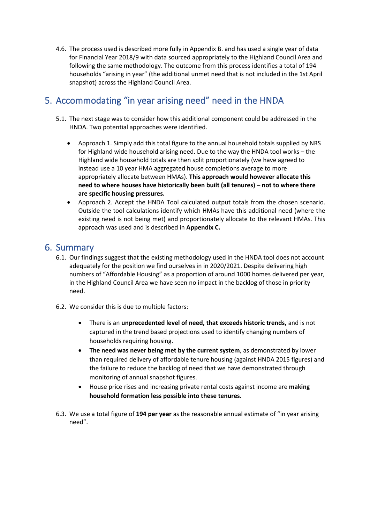4.6. The process used is described more fully in Appendix B. and has used a single year of data for Financial Year 2018/9 with data sourced appropriately to the Highland Council Area and following the same methodology. The outcome from this process identifies a total of 194 households "arising in year" (the additional unmet need that is not included in the 1st April snapshot) across the Highland Council Area.

### 5. Accommodating "in year arising need" need in the HNDA

- 5.1. The next stage was to consider how this additional component could be addressed in the HNDA. Two potential approaches were identified.
	- Approach 1. Simply add this total figure to the annual household totals supplied by NRS for Highland wide household arising need. Due to the way the HNDA tool works – the Highland wide household totals are then split proportionately (we have agreed to instead use a 10 year HMA aggregated house completions average to more appropriately allocate between HMAs). **This approach would however allocate this need to where houses have historically been built (all tenures) – not to where there are specific housing pressures.**
	- Approach 2. Accept the HNDA Tool calculated output totals from the chosen scenario. Outside the tool calculations identify which HMAs have this additional need (where the existing need is not being met) and proportionately allocate to the relevant HMAs. This approach was used and is described in **Appendix C.**

### 6. Summary

- 6.1. Our findings suggest that the existing methodology used in the HNDA tool does not account adequately for the position we find ourselves in in 2020/2021. Despite delivering high numbers of "Affordable Housing" as a proportion of around 1000 homes delivered per year, in the Highland Council Area we have seen no impact in the backlog of those in priority need.
- 6.2. We consider this is due to multiple factors:
	- There is an **unprecedented level of need, that exceeds historic trends,** and is not captured in the trend based projections used to identify changing numbers of households requiring housing.
	- **The need was never being met by the current system**, as demonstrated by lower than required delivery of affordable tenure housing (against HNDA 2015 figures) and the failure to reduce the backlog of need that we have demonstrated through monitoring of annual snapshot figures.
	- House price rises and increasing private rental costs against income are **making household formation less possible into these tenures.**
- 6.3. We use a total figure of **194 per year** as the reasonable annual estimate of "in year arising need".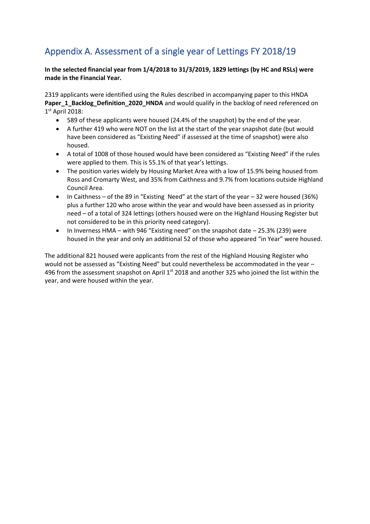# Appendix A. Assessment of a single year of Lettings FY 2018/19

**In the selected financial year from 1/4/2018 to 31/3/2019, 1829 lettings (by HC and RSLs) were made in the Financial Year.**

2319 applicants were identified using the Rules described in accompanying paper to this HNDA Paper\_1\_Backlog\_Definition\_2020\_HNDA and would qualify in the backlog of need referenced on 1 st April 2018:

- 589 of these applicants were housed (24.4% of the snapshot) by the end of the year.
- A further 419 who were NOT on the list at the start of the year snapshot date (but would have been considered as "Existing Need" if assessed at the time of snapshot) were also housed.
- A total of 1008 of those housed would have been considered as "Existing Need" if the rules were applied to them. This is 55.1% of that year's lettings.
- The position varies widely by Housing Market Area with a low of 15.9% being housed from Ross and Cromarty West, and 35% from Caithness and 9.7% from locations outside Highland Council Area.
- In Caithness of the 89 in "Existing Need" at the start of the year 32 were housed (36%) plus a further 120 who arose within the year and would have been assessed as in priority need – of a total of 324 lettings (others housed were on the Highland Housing Register but not considered to be in this priority need category).
- In Inverness HMA with 946 "Existing need" on the snapshot date 25.3% (239) were housed in the year and only an additional 52 of those who appeared "in Year" were housed.

The additional 821 housed were applicants from the rest of the Highland Housing Register who would not be assessed as "Existing Need" but could nevertheless be accommodated in the year – 496 from the assessment snapshot on April 1<sup>st</sup> 2018 and another 325 who joined the list within the year, and were housed within the year.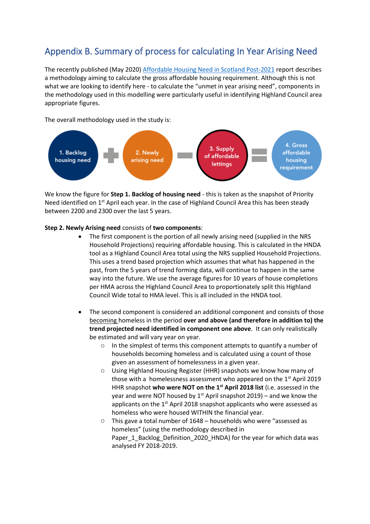## Appendix B. Summary of process for calculating In Year Arising Need

The recently published (May 2020) [Affordable Housing Need in Scotland Post-2021](https://scotland.shelter.org.uk/__data/assets/pdf_file/0010/1925668/Affordable_Housing_Need_in_Scotland_Post-21_final_report.pdf/_nocache) report describes a methodology aiming to calculate the gross affordable housing requirement. Although this is not what we are looking to identify here - to calculate the "unmet in year arising need", components in the methodology used in this modelling were particularly useful in identifying Highland Council area appropriate figures.

The overall methodology used in the study is:



We know the figure for **Step 1. Backlog of housing need** - this is taken as the snapshot of Priority Need identified on 1<sup>st</sup> April each year. In the case of Highland Council Area this has been steady between 2200 and 2300 over the last 5 years.

### **Step 2. Newly Arising need** consists of **two components**:

- The first component is the portion of all newly arising need (supplied in the NRS Household Projections) requiring affordable housing. This is calculated in the HNDA tool as a Highland Council Area total using the NRS supplied Household Projections. This uses a trend based projection which assumes that what has happened in the past, from the 5 years of trend forming data, will continue to happen in the same way into the future. We use the average figures for 10 years of house completions per HMA across the Highland Council Area to proportionately split this Highland Council Wide total to HMA level. This is all included in the HNDA tool.
- The second component is considered an additional component and consists of those becoming homeless in the period **over and above (and therefore in addition to) the trend projected need identified in component one above**. It can only realistically be estimated and will vary year on year.
	- $\circ$  In the simplest of terms this component attempts to quantify a number of households becoming homeless and is calculated using a count of those given an assessment of homelessness in a given year.
	- o Using Highland Housing Register (HHR) snapshots we know how many of those with a homelessness assessment who appeared on the  $1<sup>st</sup>$  April 2019 HHR snapshot **who were NOT on the 1st April 2018 list** (i.e. assessed in the year and were NOT housed by  $1<sup>st</sup>$  April snapshot 2019) – and we know the applicants on the 1<sup>st</sup> April 2018 snapshot applicants who were assessed as homeless who were housed WITHIN the financial year.
	- $\circ$  This gave a total number of 1648 households who were "assessed as homeless" (using the methodology described in Paper\_1\_Backlog\_Definition\_2020\_HNDA) for the year for which data was analysed FY 2018-2019.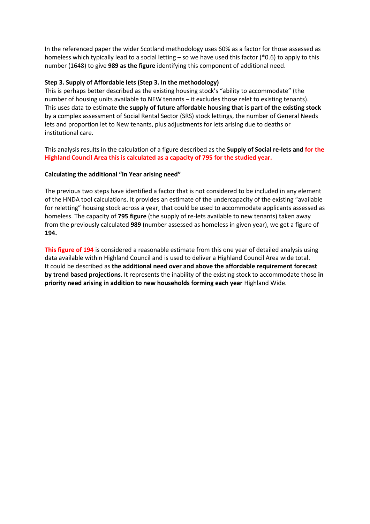In the referenced paper the wider Scotland methodology uses 60% as a factor for those assessed as homeless which typically lead to a social letting – so we have used this factor (\*0.6) to apply to this number (1648) to give **989 as the figure** identifying this component of additional need.

### **Step 3. Supply of Affordable lets (Step 3. In the methodology)**

This is perhaps better described as the existing housing stock's "ability to accommodate" (the number of housing units available to NEW tenants – it excludes those relet to existing tenants). This uses data to estimate **the supply of future affordable housing that is part of the existing stock** by a complex assessment of Social Rental Sector (SRS) stock lettings, the number of General Needs lets and proportion let to New tenants, plus adjustments for lets arising due to deaths or institutional care.

This analysis results in the calculation of a figure described as the **Supply of Social re-lets and for the Highland Council Area this is calculated as a capacity of 795 for the studied year.**

### **Calculating the additional "In Year arising need"**

The previous two steps have identified a factor that is not considered to be included in any element of the HNDA tool calculations. It provides an estimate of the undercapacity of the existing "available for reletting" housing stock across a year, that could be used to accommodate applicants assessed as homeless. The capacity of **795 figure** (the supply of re-lets available to new tenants) taken away from the previously calculated **989** (number assessed as homeless in given year), we get a figure of **194.**

**This figure of 194** is considered a reasonable estimate from this one year of detailed analysis using data available within Highland Council and is used to deliver a Highland Council Area wide total. It could be described as **the additional need over and above the affordable requirement forecast by trend based projections**. It represents the inability of the existing stock to accommodate those **in priority need arising in addition to new households forming each year** Highland Wide.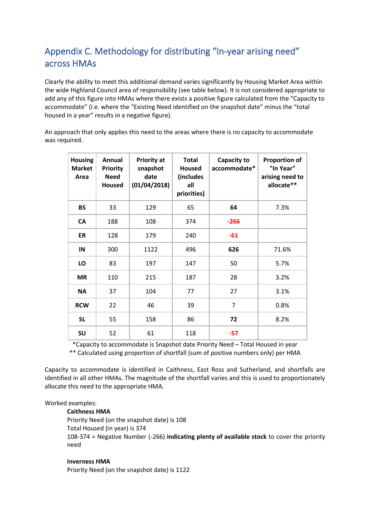# Appendix C. Methodology for distributing "In-year arising need" across HMAs

Clearly the ability to meet this additional demand varies significantly by Housing Market Area within the wide Highland Council area of responsibility (see table below). It is not considered appropriate to add any of this figure into HMAs where there exists a positive figure calculated from the "Capacity to accommodate" (i.e. where the "Existing Need identified on the snapshot date" minus the "total housed in a year" results in a negative figure).

An approach that only applies this need to the areas where there is no capacity to accommodate was required.

| <b>Housing</b><br><b>Market</b><br>Area | Annual<br><b>Priority</b><br><b>Need</b><br><b>Housed</b> | <b>Priority at</b><br>snapshot<br>date<br>(01/04/2018) | <b>Total</b><br><b>Housed</b><br>(includes<br>all<br>priorities) | Capacity to<br>accommodate* | <b>Proportion of</b><br>"In Year"<br>arising need to<br>allocate** |
|-----------------------------------------|-----------------------------------------------------------|--------------------------------------------------------|------------------------------------------------------------------|-----------------------------|--------------------------------------------------------------------|
| <b>BS</b>                               | 33                                                        | 129                                                    | 65                                                               | 64                          | 7.3%                                                               |
| <b>CA</b>                               | 188                                                       | 108                                                    | 374                                                              | $-266$                      |                                                                    |
| ER                                      | 128                                                       | 179                                                    | 240                                                              | $-61$                       |                                                                    |
| IN                                      | 300                                                       | 1122                                                   | 496                                                              | 626                         | 71.6%                                                              |
| LO                                      | 83                                                        | 197                                                    | 147                                                              | 50                          | 5.7%                                                               |
| <b>MR</b>                               | 110                                                       | 215                                                    | 187                                                              | 28                          | 3.2%                                                               |
| <b>NA</b>                               | 37                                                        | 104                                                    | 77                                                               | 27                          | 3.1%                                                               |
| <b>RCW</b>                              | 22                                                        | 46                                                     | 39                                                               | $\overline{7}$              | 0.8%                                                               |
| <b>SL</b>                               | 55                                                        | 158                                                    | 86                                                               | 72                          | 8.2%                                                               |
| SU                                      | 52                                                        | 61                                                     | 118                                                              | $-57$                       |                                                                    |

\*Capacity to accommodate is Snapshot date Priority Need – Total Housed in year \*\* Calculated using proportion of shortfall (sum of positive numbers only) per HMA

Capacity to accommodate is identified in Caithness, East Ross and Sutherland, and shortfalls are identified in all other HMAs. The magnitude of the shortfall varies and this is used to proportionately allocate this need to the appropriate HMA.

#### Worked examples:

#### **Caithness HMA**

Priority Need (on the snapshot date) is 108 Total Housed (in year) is 374 108-374 = Negative Number (-266) **indicating plenty of available stock** to cover the priority need

#### **Inverness HMA**

Priority Need (on the snapshot date) is 1122